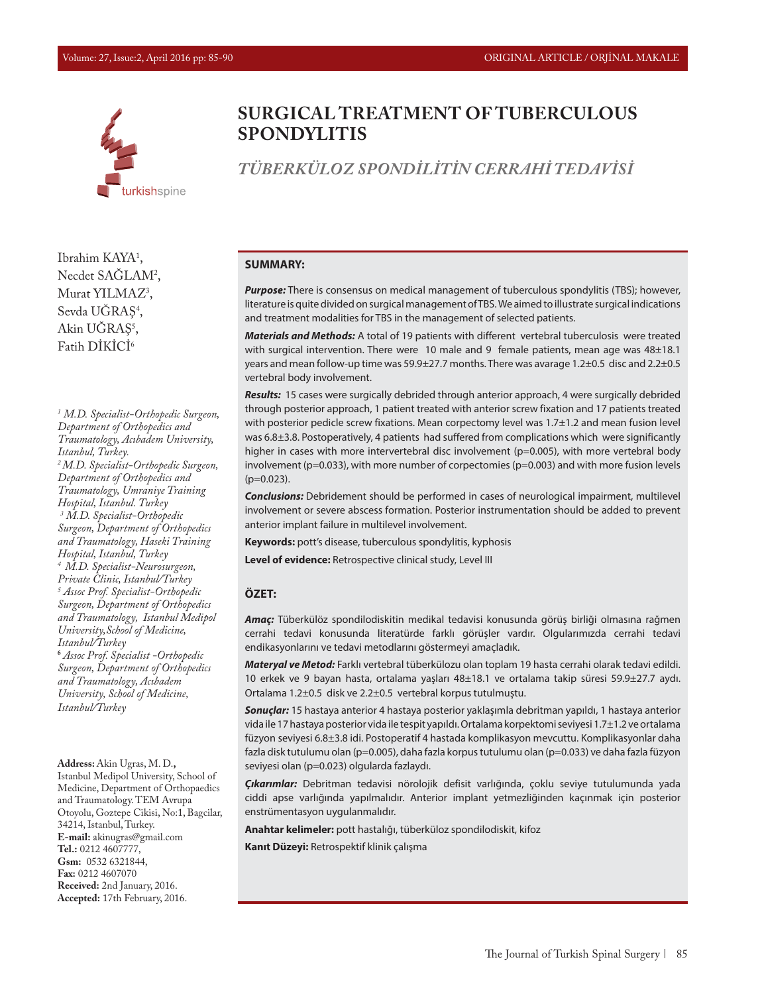

**SURGICAL TREATMENT OF TUBERCULOUS SPONDYLITIS**

# *TÜBERKÜLOZ SPONDİLİTİN CERRAHİ TEDAVİSİ*

Ibrahim KAYA<sup>1</sup>, Necdet SAGLAM<sup>2</sup>, Murat YILMA $Z^3$ , Sevda UGRAŞ<sup>4</sup>, Akin UGRAŞ<sup>5</sup>, Fatih DİKİCİ6

*1 M.D. Specialist-Orthopedic Surgeon, Department of Orthopedics and Traumatology, Acıbadem University, Istanbul, Turkey. 2 M.D. Specialist-Orthopedic Surgeon, Department of Orthopedics and Traumatology, Umraniye Training Hospital, Istanbul. Turkey 3 M.D. Specialist-Orthopedic Surgeon, Department of Orthopedics and Traumatology, Haseki Training Hospital, Istanbul, Turkey 4 M.D. Specialist-Neurosurgeon, Private Clinic, Istanbul/Turkey 5 Assoc Prof. Specialist-Orthopedic Surgeon, Department of Orthopedics and Traumatology, Istanbul Medipol University,School of Medicine, Istanbul/Turkey* **<sup>6</sup>** *Assoc Prof. Specialist -Orthopedic Surgeon, Department of Orthopedics and Traumatology, Acıbadem University, School of Medicine, Istanbul/Turkey*

**Address:** Akin Ugras, M. D.**,**  Istanbul Medipol University, School of Medicine, Department of Orthopaedics and Traumatology. TEM Avrupa Otoyolu, Goztepe Cikisi, No:1, Bagcilar, 34214, Istanbul, Turkey. **E-mail:** akinugras@gmail.com **Tel.:** 0212 4607777, **Gsm:** 0532 6321844, **Fax:** 0212 4607070 **Received:** 2nd January, 2016. **Accepted:** 17th February, 2016.

#### **SUMMARY:**

*Purpose:* There is consensus on medical management of tuberculous spondylitis (TBS); however, literature is quite divided on surgical management of TBS.We aimed to illustrate surgical indications and treatment modalities for TBS in the management of selected patients.

*Materials and Methods:* A total of 19 patients with different vertebral tuberculosis were treated with surgical intervention. There were 10 male and 9 female patients, mean age was 48±18.1 years and mean follow-up time was 59.9±27.7 months. There was avarage 1.2±0.5 disc and 2.2±0.5 vertebral body involvement.

*Results:*15 cases were surgically debrided through anterior approach, 4 were surgically debrided through posterior approach, 1 patient treated with anterior screw fixation and 17 patients treated with posterior pedicle screw fixations. Mean corpectomy level was 1.7±1.2 and mean fusion level was 6.8±3.8. Postoperatively, 4 patients had suffered from complications which were significantly higher in cases with more intervertebral disc involvement (p=0.005), with more vertebral body involvement (p=0.033), with more number of corpectomies (p=0.003) and with more fusion levels  $(p=0.023)$ .

*Conclusions:* Debridement should be performed in cases of neurological impairment, multilevel involvement or severe abscess formation. Posterior instrumentation should be added to prevent anterior implant failure in multilevel involvement.

**Keywords:** pott's disease, tuberculous spondylitis, kyphosis

**Level of evidence:** Retrospective clinical study, Level III

#### **ÖZET:**

*Amaç:* Tüberkülöz spondilodiskitin medikal tedavisi konusunda görüş birliği olmasına rağmen cerrahi tedavi konusunda literatürde farklı görüşler vardır. Olgularımızda cerrahi tedavi endikasyonlarını ve tedavi metodlarını göstermeyi amaçladık.

*Materyal ve Metod:* Farklı vertebral tüberkülozu olan toplam 19 hasta cerrahi olarak tedavi edildi. 10 erkek ve 9 bayan hasta, ortalama yaşları 48±18.1 ve ortalama takip süresi 59.9±27.7 aydı. Ortalama 1.2±0.5 disk ve 2.2±0.5 vertebral korpus tutulmuştu.

*Sonuçlar:* 15 hastaya anterior 4 hastaya posterior yaklaşımla debritman yapıldı, 1 hastaya anterior vida ile 17 hastaya posterior vida ile tespit yapıldı. Ortalama korpektomi seviyesi 1.7±1.2 ve ortalama füzyon seviyesi 6.8±3.8 idi. Postoperatif 4 hastada komplikasyon mevcuttu. Komplikasyonlar daha fazla disk tutulumu olan (p=0.005), daha fazla korpus tutulumu olan (p=0.033) ve daha fazla füzyon seviyesi olan (p=0.023) olgularda fazlaydı.

*Çıkarımlar:* Debritman tedavisi nörolojik defisit varlığında, çoklu seviye tutulumunda yada ciddi apse varlığında yapılmalıdır. Anterior implant yetmezliğinden kaçınmak için posterior enstrümentasyon uygulanmalıdır.

**Anahtar kelimeler:** pott hastalığı, tüberküloz spondilodiskit, kifoz

**Kanıt Düzeyi:** Retrospektif klinik çalışma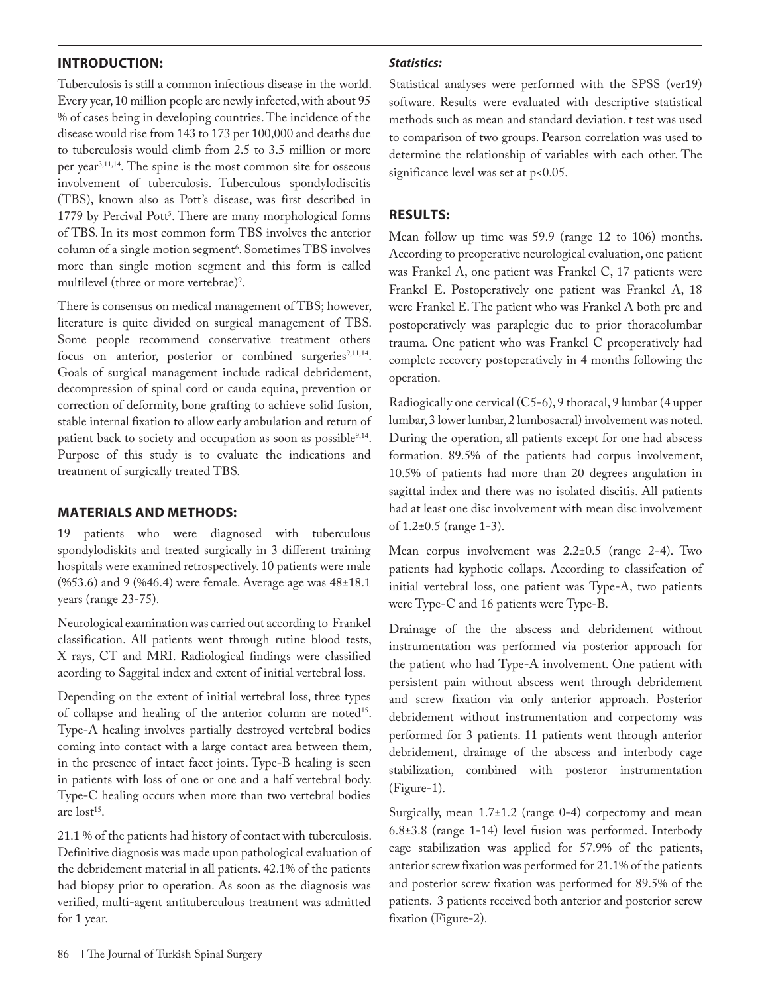### **INTRODUCTION:**

Tuberculosis is still a common infectious disease in the world. Every year, 10 million people are newly infected, with about 95 % of cases being in developing countries. The incidence of the disease would rise from 143 to 173 per 100,000 and deaths due to tuberculosis would climb from 2.5 to 3.5 million or more per year3,11,14. The spine is the most common site for osseous involvement of tuberculosis. Tuberculous spondylodiscitis (TBS), known also as Pott's disease, was first described in 1779 by Percival Pott<sup>3</sup>. There are many morphological forms of TBS. In its most common form TBS involves the anterior column of a single motion segment6 . Sometimes TBS involves more than single motion segment and this form is called multilevel (three or more vertebrae)<sup>9</sup>.

There is consensus on medical management of TBS; however, literature is quite divided on surgical management of TBS. Some people recommend conservative treatment others focus on anterior, posterior or combined surgeries $9,11,14$ . Goals of surgical management include radical debridement, decompression of spinal cord or cauda equina, prevention or correction of deformity, bone grafting to achieve solid fusion, stable internal fixation to allow early ambulation and return of patient back to society and occupation as soon as possible $9,14$ . Purpose of this study is to evaluate the indications and treatment of surgically treated TBS.

### **MATERIALS AND METHODS:**

19 patients who were diagnosed with tuberculous spondylodiskits and treated surgically in 3 different training hospitals were examined retrospectively. 10 patients were male (%53.6) and 9 (%46.4) were female. Average age was 48±18.1 years (range 23-75).

Neurological examination was carried out according to Frankel classification. All patients went through rutine blood tests, X rays, CT and MRI. Radiological findings were classified acording to Saggital index and extent of initial vertebral loss.

Depending on the extent of initial vertebral loss, three types of collapse and healing of the anterior column are noted<sup>15</sup>. Type-A healing involves partially destroyed vertebral bodies coming into contact with a large contact area between them, in the presence of intact facet joints. Type-B healing is seen in patients with loss of one or one and a half vertebral body. Type-C healing occurs when more than two vertebral bodies are  $lost<sup>15</sup>$ .

21.1 % of the patients had history of contact with tuberculosis. Definitive diagnosis was made upon pathological evaluation of the debridement material in all patients. 42.1% of the patients had biopsy prior to operation. As soon as the diagnosis was verified, multi-agent antituberculous treatment was admitted for 1 year.

#### *Statistics:*

Statistical analyses were performed with the SPSS (ver19) software. Results were evaluated with descriptive statistical methods such as mean and standard deviation. t test was used to comparison of two groups. Pearson correlation was used to determine the relationship of variables with each other. The significance level was set at p<0.05.

### **RESULTS:**

Mean follow up time was 59.9 (range 12 to 106) months. According to preoperative neurological evaluation, one patient was Frankel A, one patient was Frankel C, 17 patients were Frankel E. Postoperatively one patient was Frankel A, 18 were Frankel E. The patient who was Frankel A both pre and postoperatively was paraplegic due to prior thoracolumbar trauma. One patient who was Frankel C preoperatively had complete recovery postoperatively in 4 months following the operation.

Radiogically one cervical (C5-6), 9 thoracal, 9 lumbar (4 upper lumbar, 3 lower lumbar, 2 lumbosacral) involvement was noted. During the operation, all patients except for one had abscess formation. 89.5% of the patients had corpus involvement, 10.5% of patients had more than 20 degrees angulation in sagittal index and there was no isolated discitis. All patients had at least one disc involvement with mean disc involvement of 1.2±0.5 (range 1-3).

Mean corpus involvement was 2.2±0.5 (range 2-4). Two patients had kyphotic collaps. According to classifcation of initial vertebral loss, one patient was Type-A, two patients were Type-C and 16 patients were Type-B.

Drainage of the the abscess and debridement without instrumentation was performed via posterior approach for the patient who had Type-A involvement. One patient with persistent pain without abscess went through debridement and screw fixation via only anterior approach. Posterior debridement without instrumentation and corpectomy was performed for 3 patients. 11 patients went through anterior debridement, drainage of the abscess and interbody cage stabilization, combined with posteror instrumentation (Figure-1).

Surgically, mean 1.7±1.2 (range 0-4) corpectomy and mean 6.8±3.8 (range 1-14) level fusion was performed. Interbody cage stabilization was applied for 57.9% of the patients, anterior screw fixation was performed for 21.1% of the patients and posterior screw fixation was performed for 89.5% of the patients. 3 patients received both anterior and posterior screw fixation (Figure-2).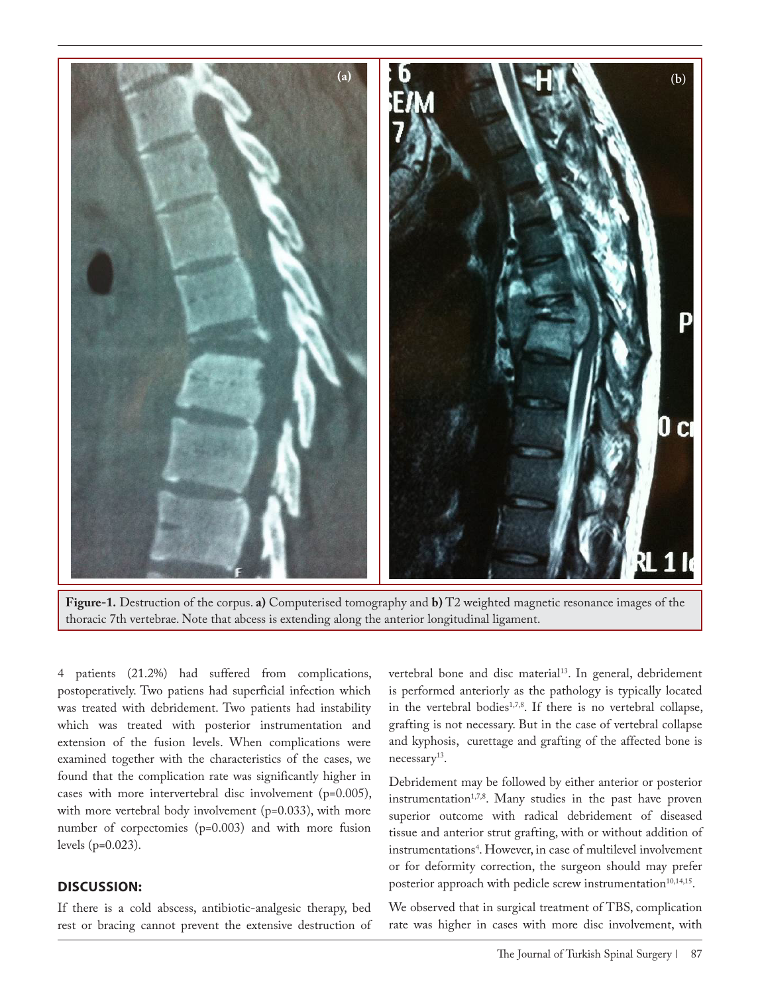

**Figure-1.** Destruction of the corpus. **a)** Computerised tomography and **b)** T2 weighted magnetic resonance images of the thoracic 7th vertebrae. Note that abcess is extending along the anterior longitudinal ligament.

4 patients (21.2%) had suffered from complications, postoperatively. Two patiens had superficial infection which was treated with debridement. Two patients had instability which was treated with posterior instrumentation and extension of the fusion levels. When complications were examined together with the characteristics of the cases, we found that the complication rate was significantly higher in cases with more intervertebral disc involvement (p=0.005), with more vertebral body involvement (p=0.033), with more number of corpectomies (p=0.003) and with more fusion levels (p=0.023).

### **DISCUSSION:**

If there is a cold abscess, antibiotic-analgesic therapy, bed rest or bracing cannot prevent the extensive destruction of vertebral bone and disc material<sup>13</sup>. In general, debridement is performed anteriorly as the pathology is typically located in the vertebral bodies<sup>1,7,8</sup>. If there is no vertebral collapse, grafting is not necessary. But in the case of vertebral collapse and kyphosis, curettage and grafting of the affected bone is necessary<sup>13</sup>.

Debridement may be followed by either anterior or posterior instrumentation<sup>1,7,8</sup>. Many studies in the past have proven superior outcome with radical debridement of diseased tissue and anterior strut grafting, with or without addition of instrumentations4 . However, in case of multilevel involvement or for deformity correction, the surgeon should may prefer posterior approach with pedicle screw instrumentation<sup>10,14,15</sup>.

We observed that in surgical treatment of TBS, complication rate was higher in cases with more disc involvement, with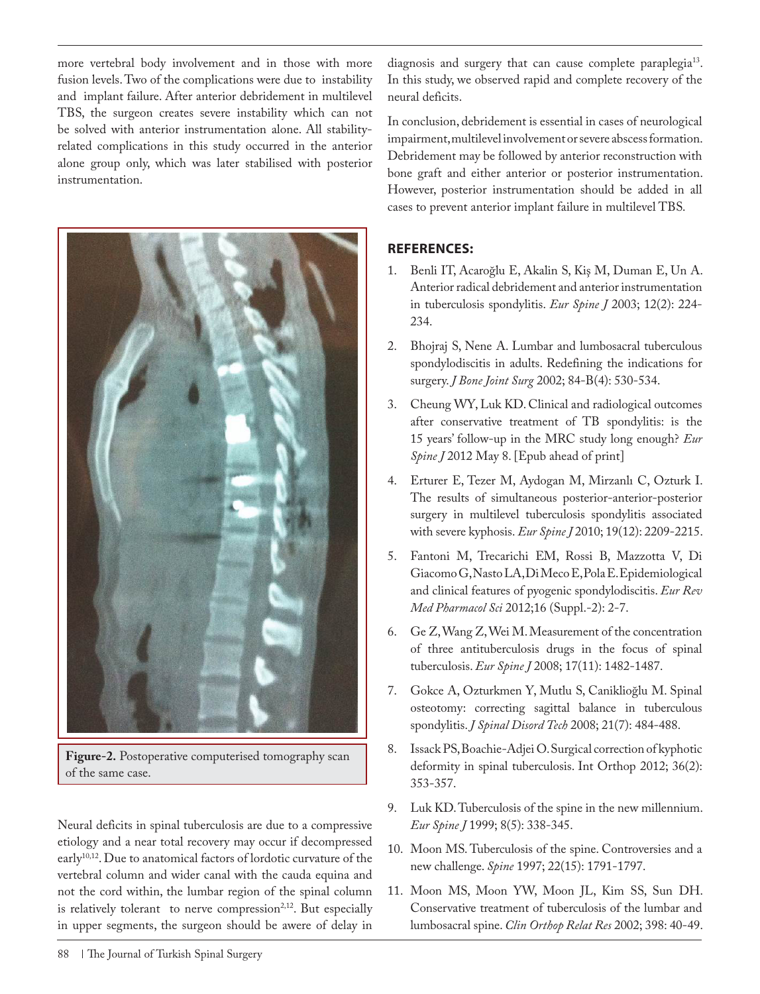more vertebral body involvement and in those with more fusion levels. Two of the complications were due to instability and implant failure. After anterior debridement in multilevel TBS, the surgeon creates severe instability which can not be solved with anterior instrumentation alone. All stabilityrelated complications in this study occurred in the anterior alone group only, which was later stabilised with posterior instrumentation.



**Figure-2.** Postoperative computerised tomography scan of the same case.

Neural deficits in spinal tuberculosis are due to a compressive etiology and a near total recovery may occur if decompressed early<sup>10,12</sup>. Due to anatomical factors of lordotic curvature of the vertebral column and wider canal with the cauda equina and not the cord within, the lumbar region of the spinal column is relatively tolerant to nerve compression<sup>2,12</sup>. But especially in upper segments, the surgeon should be awere of delay in diagnosis and surgery that can cause complete paraplegia<sup>13</sup>. In this study, we observed rapid and complete recovery of the neural deficits.

In conclusion, debridement is essential in cases of neurological impairment, multilevel involvement or severe abscess formation. Debridement may be followed by anterior reconstruction with bone graft and either anterior or posterior instrumentation. However, posterior instrumentation should be added in all cases to prevent anterior implant failure in multilevel TBS.

## **REFERENCES:**

- 1. Benli IT, Acaroğlu E, Akalin S, Kiş M, Duman E, Un A. Anterior radical debridement and anterior instrumentation in tuberculosis spondylitis. *Eur Spine J* 2003; 12(2): 224- 234.
- 2. Bhojraj S, Nene A. Lumbar and lumbosacral tuberculous spondylodiscitis in adults. Redefining the indications for surgery. *J Bone Joint Surg* 2002; 84-B(4): 530-534.
- 3. Cheung WY, Luk KD. Clinical and radiological outcomes after conservative treatment of TB spondylitis: is the 15 years' follow-up in the MRC study long enough? *Eur Spine J* 2012 May 8. [Epub ahead of print]
- 4. Erturer E, Tezer M, Aydogan M, Mirzanlı C, Ozturk I. The results of simultaneous posterior-anterior-posterior surgery in multilevel tuberculosis spondylitis associated with severe kyphosis. *Eur Spine J* 2010; 19(12): 2209-2215.
- 5. Fantoni M, Trecarichi EM, Rossi B, Mazzotta V, Di Giacomo G, Nasto LA, Di Meco E, Pola E. Epidemiological and clinical features of pyogenic spondylodiscitis. *Eur Rev Med Pharmacol Sci* 2012;16 (Suppl.-2): 2-7.
- 6. Ge Z, Wang Z, Wei M. Measurement of the concentration of three antituberculosis drugs in the focus of spinal tuberculosis. *Eur Spine J* 2008; 17(11): 1482-1487.
- 7. Gokce A, Ozturkmen Y, Mutlu S, Caniklioğlu M. Spinal osteotomy: correcting sagittal balance in tuberculous spondylitis. *J Spinal Disord Tech* 2008; 21(7): 484-488.
- 8. Issack PS, Boachie-Adjei O. Surgical correction of kyphotic deformity in spinal tuberculosis. Int Orthop 2012; 36(2): 353-357.
- 9. Luk KD. Tuberculosis of the spine in the new millennium. *Eur Spine J* 1999; 8(5): 338-345.
- 10. Moon MS. Tuberculosis of the spine. Controversies and a new challenge. *Spine* 1997; 22(15): 1791-1797.
- 11. Moon MS, Moon YW, Moon JL, Kim SS, Sun DH. Conservative treatment of tuberculosis of the lumbar and lumbosacral spine. *Clin Orthop Relat Res* 2002; 398: 40-49.